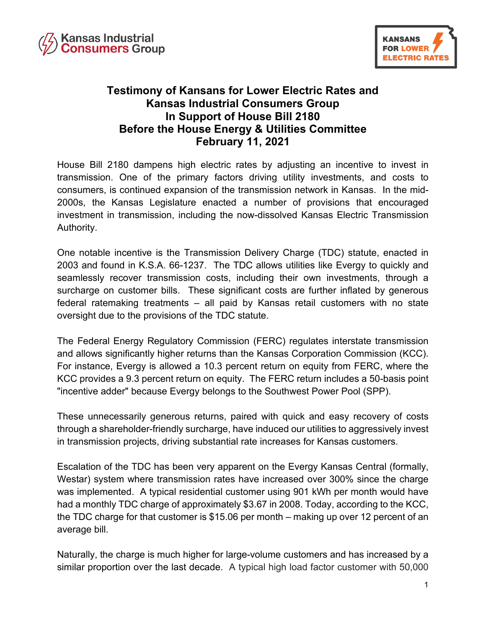



## **Testimony of Kansans for Lower Electric Rates and Kansas Industrial Consumers Group In Support of House Bill 2180 Before the House Energy & Utilities Committee February 11, 2021**

House Bill 2180 dampens high electric rates by adjusting an incentive to invest in transmission. One of the primary factors driving utility investments, and costs to consumers, is continued expansion of the transmission network in Kansas. In the mid-2000s, the Kansas Legislature enacted a number of provisions that encouraged investment in transmission, including the now-dissolved Kansas Electric Transmission Authority.

One notable incentive is the Transmission Delivery Charge (TDC) statute, enacted in 2003 and found in K.S.A. 66-1237. The TDC allows utilities like Evergy to quickly and seamlessly recover transmission costs, including their own investments, through a surcharge on customer bills. These significant costs are further inflated by generous federal ratemaking treatments – all paid by Kansas retail customers with no state oversight due to the provisions of the TDC statute.

The Federal Energy Regulatory Commission (FERC) regulates interstate transmission and allows significantly higher returns than the Kansas Corporation Commission (KCC). For instance, Evergy is allowed a 10.3 percent return on equity from FERC, where the KCC provides a 9.3 percent return on equity. The FERC return includes a 50-basis point "incentive adder" because Evergy belongs to the Southwest Power Pool (SPP).

These unnecessarily generous returns, paired with quick and easy recovery of costs through a shareholder-friendly surcharge, have induced our utilities to aggressively invest in transmission projects, driving substantial rate increases for Kansas customers.

Escalation of the TDC has been very apparent on the Evergy Kansas Central (formally, Westar) system where transmission rates have increased over 300% since the charge was implemented. A typical residential customer using 901 kWh per month would have had a monthly TDC charge of approximately \$3.67 in 2008. Today, according to the KCC, the TDC charge for that customer is \$15.06 per month – making up over 12 percent of an average bill.

Naturally, the charge is much higher for large-volume customers and has increased by a similar proportion over the last decade. A typical high load factor customer with 50,000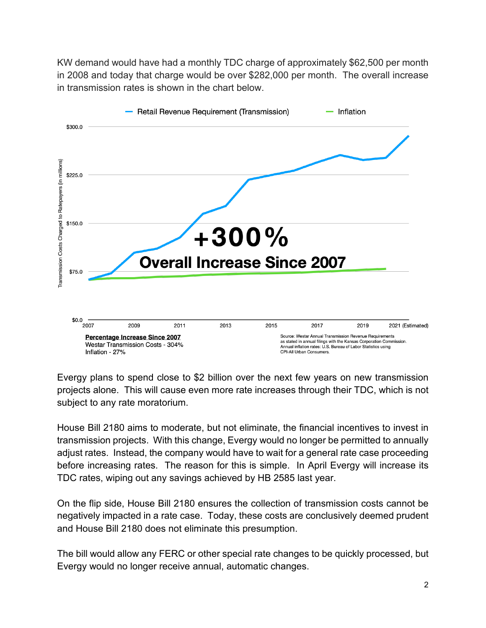KW demand would have had a monthly TDC charge of approximately \$62,500 per month in 2008 and today that charge would be over \$282,000 per month. The overall increase in transmission rates is shown in the chart below.



Evergy plans to spend close to \$2 billion over the next few years on new transmission projects alone. This will cause even more rate increases through their TDC, which is not subject to any rate moratorium.

House Bill 2180 aims to moderate, but not eliminate, the financial incentives to invest in transmission projects. With this change, Evergy would no longer be permitted to annually adjust rates. Instead, the company would have to wait for a general rate case proceeding before increasing rates. The reason for this is simple. In April Evergy will increase its TDC rates, wiping out any savings achieved by HB 2585 last year.

On the flip side, House Bill 2180 ensures the collection of transmission costs cannot be negatively impacted in a rate case. Today, these costs are conclusively deemed prudent and House Bill 2180 does not eliminate this presumption.

The bill would allow any FERC or other special rate changes to be quickly processed, but Evergy would no longer receive annual, automatic changes.